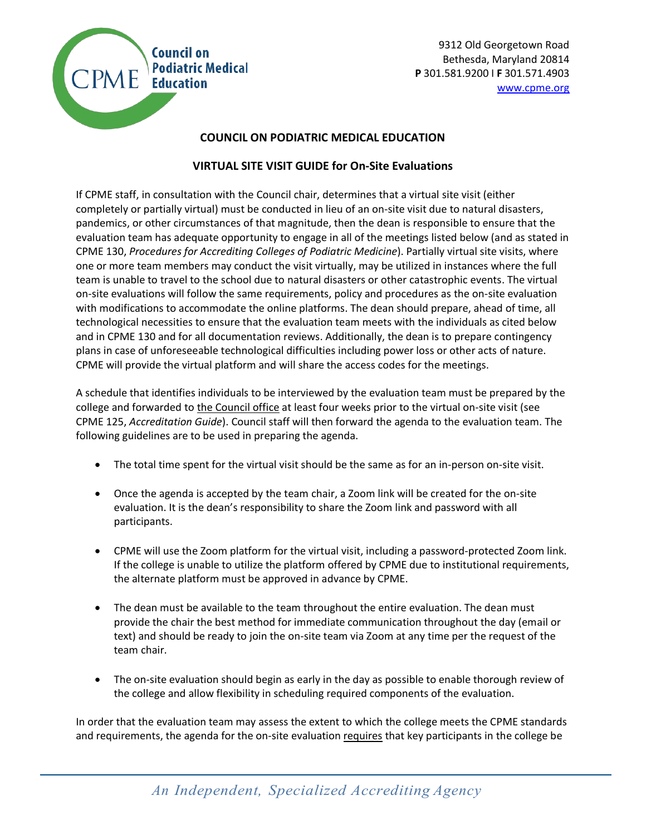

9312 Old Georgetown Road Bethesda, Maryland 20814 **Podiatric Medical**<br>**P** 301.581.9200 I **F** 301.571.4903<br>**Education** [www.cpme.org](http://www.cpme.org/)

## **COUNCIL ON PODIATRIC MEDICAL EDUCATION**

## **VIRTUAL SITE VISIT GUIDE for On-Site Evaluations**

If CPME staff, in consultation with the Council chair, determines that a virtual site visit (either completely or partially virtual) must be conducted in lieu of an on-site visit due to natural disasters, pandemics, or other circumstances of that magnitude, then the dean is responsible to ensure that the evaluation team has adequate opportunity to engage in all of the meetings listed below (and as stated in CPME 130, *Procedures for Accrediting Colleges of Podiatric Medicine*). Partially virtual site visits, where one or more team members may conduct the visit virtually, may be utilized in instances where the full team is unable to travel to the school due to natural disasters or other catastrophic events. The virtual on-site evaluations will follow the same requirements, policy and procedures as the on-site evaluation with modifications to accommodate the online platforms. The dean should prepare, ahead of time, all technological necessities to ensure that the evaluation team meets with the individuals as cited below and in CPME 130 and for all documentation reviews. Additionally, the dean is to prepare contingency plans in case of unforeseeable technological difficulties including power loss or other acts of nature. CPME will provide the virtual platform and will share the access codes for the meetings.

A schedule that identifies individuals to be interviewed by the evaluation team must be prepared by the college and forwarded to *the Council office* at least four weeks prior to the virtual on-site visit (see CPME 125, *Accreditation Guide*). Council staff will then forward the agenda to the evaluation team. The following guidelines are to be used in preparing the agenda.

- The total time spent for the virtual visit should be the same as for an in-person on-site visit.
- Once the agenda is accepted by the team chair, a Zoom link will be created for the on-site evaluation. It is the dean's responsibility to share the Zoom link and password with all participants.
- CPME will use the Zoom platform for the virtual visit, including a password-protected Zoom link. If the college is unable to utilize the platform offered by CPME due to institutional requirements, the alternate platform must be approved in advance by CPME.
- The dean must be available to the team throughout the entire evaluation. The dean must provide the chair the best method for immediate communication throughout the day (email or text) and should be ready to join the on-site team via Zoom at any time per the request of the team chair.
- The on-site evaluation should begin as early in the day as possible to enable thorough review of the college and allow flexibility in scheduling required components of the evaluation.

In order that the evaluation team may assess the extent to which the college meets the CPME standards and requirements, the agenda for the on-site evaluation requires that key participants in the college be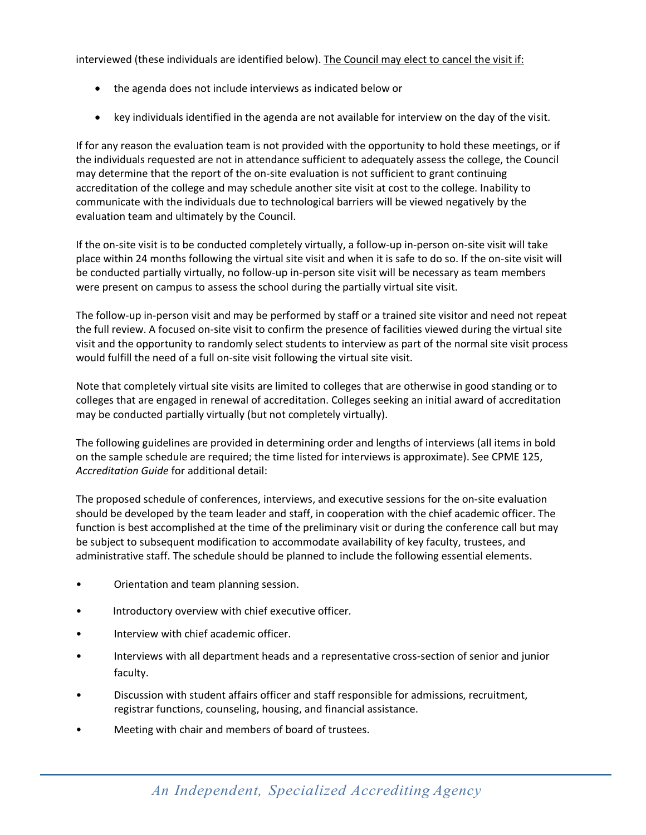interviewed (these individuals are identified below). The Council may elect to cancel the visit if:

- the agenda does not include interviews as indicated below or
- key individuals identified in the agenda are not available for interview on the day of the visit.

If for any reason the evaluation team is not provided with the opportunity to hold these meetings, or if the individuals requested are not in attendance sufficient to adequately assess the college, the Council may determine that the report of the on-site evaluation is not sufficient to grant continuing accreditation of the college and may schedule another site visit at cost to the college. Inability to communicate with the individuals due to technological barriers will be viewed negatively by the evaluation team and ultimately by the Council.

If the on-site visit is to be conducted completely virtually, a follow-up in-person on-site visit will take place within 24 months following the virtual site visit and when it is safe to do so. If the on-site visit will be conducted partially virtually, no follow-up in-person site visit will be necessary as team members were present on campus to assess the school during the partially virtual site visit.

The follow-up in-person visit and may be performed by staff or a trained site visitor and need not repeat the full review. A focused on-site visit to confirm the presence of facilities viewed during the virtual site visit and the opportunity to randomly select students to interview as part of the normal site visit process would fulfill the need of a full on-site visit following the virtual site visit.

Note that completely virtual site visits are limited to colleges that are otherwise in good standing or to colleges that are engaged in renewal of accreditation. Colleges seeking an initial award of accreditation may be conducted partially virtually (but not completely virtually).

The following guidelines are provided in determining order and lengths of interviews (all items in bold on the sample schedule are required; the time listed for interviews is approximate). See CPME 125, *Accreditation Guide* for additional detail:

The proposed schedule of conferences, interviews, and executive sessions for the on-site evaluation should be developed by the team leader and staff, in cooperation with the chief academic officer. The function is best accomplished at the time of the preliminary visit or during the conference call but may be subject to subsequent modification to accommodate availability of key faculty, trustees, and administrative staff. The schedule should be planned to include the following essential elements.

- Orientation and team planning session.
- Introductory overview with chief executive officer.
- Interview with chief academic officer.
- Interviews with all department heads and a representative cross-section of senior and junior faculty.
- Discussion with student affairs officer and staff responsible for admissions, recruitment, registrar functions, counseling, housing, and financial assistance.
- Meeting with chair and members of board of trustees.